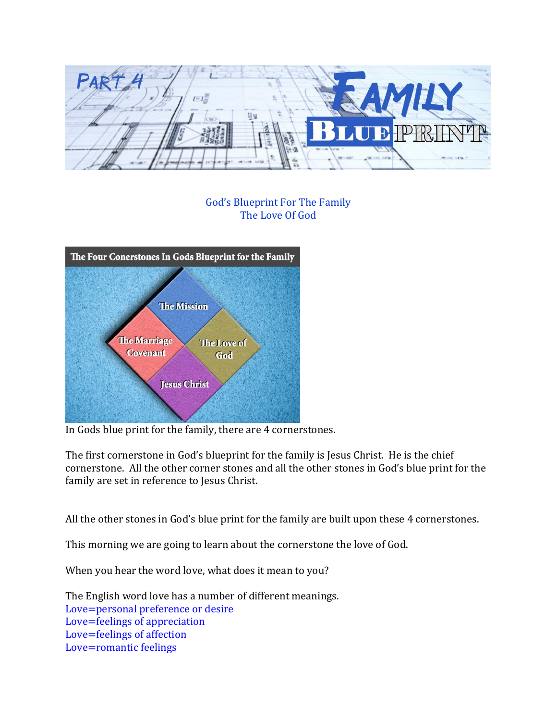

## God's Blueprint For The Family The Love Of God



In Gods blue print for the family, there are 4 cornerstones.

The first cornerstone in God's blueprint for the family is Jesus Christ. He is the chief cornerstone. All the other corner stones and all the other stones in God's blue print for the family are set in reference to Jesus Christ.

All the other stones in God's blue print for the family are built upon these 4 cornerstones.

This morning we are going to learn about the cornerstone the love of God.

When you hear the word love, what does it mean to you?

The English word love has a number of different meanings. Love=personal preference or desire Love=feelings of appreciation Love=feelings of affection Love=romantic feelings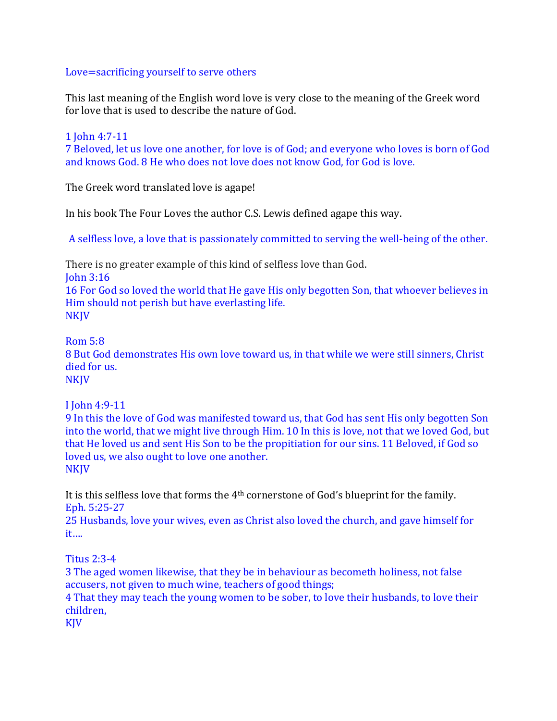## Love=sacrificing yourself to serve others

This last meaning of the English word love is very close to the meaning of the Greek word for love that is used to describe the nature of God.

1 John 4:7-11 7 Beloved, let us love one another, for love is of God; and everyone who loves is born of God and knows God. 8 He who does not love does not know God, for God is love.

The Greek word translated love is agape!

In his book The Four Loves the author C.S. Lewis defined agape this way.

A selfless love, a love that is passionately committed to serving the well-being of the other.

There is no greater example of this kind of selfless love than God. John 3:16 16 For God so loved the world that He gave His only begotten Son, that whoever believes in Him should not perish but have everlasting life. NKJV

Rom 5:8

8 But God demonstrates His own love toward us, in that while we were still sinners, Christ died for us.

NKJV

I John 4:9-11

9 In this the love of God was manifested toward us, that God has sent His only begotten Son into the world, that we might live through Him. 10 In this is love, not that we loved God, but that He loved us and sent His Son to be the propitiation for our sins. 11 Beloved, if God so loved us, we also ought to love one another. NKJV

It is this selfless love that forms the 4th cornerstone of God's blueprint for the family. Eph. 5:25-27

25 Husbands, love your wives, even as Christ also loved the church, and gave himself for it….

Titus 2:3-4

3 The aged women likewise, that they be in behaviour as becometh holiness, not false accusers, not given to much wine, teachers of good things;

4 That they may teach the young women to be sober, to love their husbands, to love their children,

KJV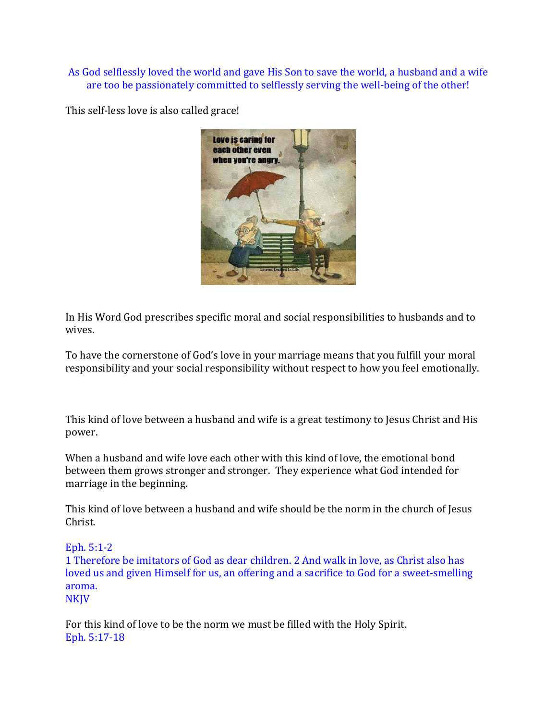## As God selflessly loved the world and gave His Son to save the world, a husband and a wife are too be passionately committed to selflessly serving the well-being of the other!

This self-less love is also called grace!



In His Word God prescribes specific moral and social responsibilities to husbands and to wives.

To have the cornerstone of God's love in your marriage means that you fulfill your moral responsibility and your social responsibility without respect to how you feel emotionally.

This kind of love between a husband and wife is a great testimony to Jesus Christ and His power.

When a husband and wife love each other with this kind of love, the emotional bond between them grows stronger and stronger. They experience what God intended for marriage in the beginning.

This kind of love between a husband and wife should be the norm in the church of Jesus Christ.

Eph. 5:1-2

1 Therefore be imitators of God as dear children. 2 And walk in love, as Christ also has loved us and given Himself for us, an offering and a sacrifice to God for a sweet-smelling aroma. NKJV

For this kind of love to be the norm we must be filled with the Holy Spirit. Eph. 5:17-18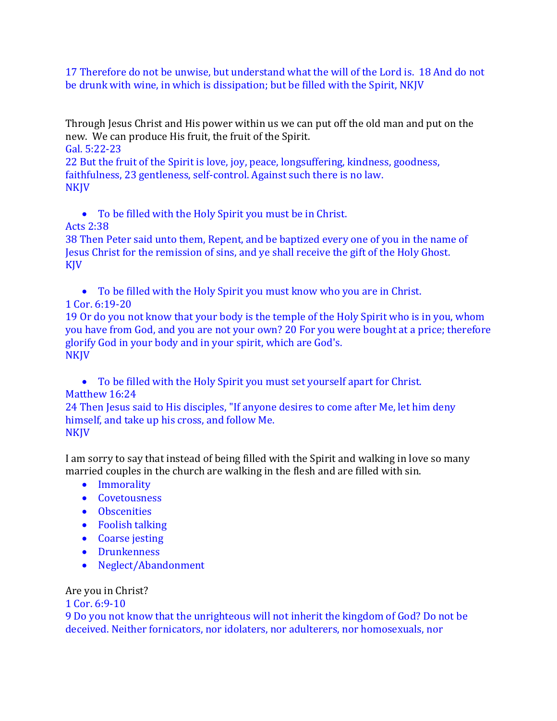17 Therefore do not be unwise, but understand what the will of the Lord is. 18 And do not be drunk with wine, in which is dissipation; but be filled with the Spirit, NKJV

Through Jesus Christ and His power within us we can put off the old man and put on the new. We can produce His fruit, the fruit of the Spirit.

Gal. 5:22-23

22 But the fruit of the Spirit is love, joy, peace, longsuffering, kindness, goodness, faithfulness, 23 gentleness, self-control. Against such there is no law. **NKJV** 

To be filled with the Holy Spirit you must be in Christ.

## Acts 2:38

38 Then Peter said unto them, Repent, and be baptized every one of you in the name of Jesus Christ for the remission of sins, and ye shall receive the gift of the Holy Ghost. KJV

To be filled with the Holy Spirit you must know who you are in Christ.

1 Cor. 6:19-20

19 Or do you not know that your body is the temple of the Holy Spirit who is in you, whom you have from God, and you are not your own? 20 For you were bought at a price; therefore glorify God in your body and in your spirit, which are God's. NKJV

 To be filled with the Holy Spirit you must set yourself apart for Christ. Matthew 16:24

24 Then Jesus said to His disciples, "If anyone desires to come after Me, let him deny himself, and take up his cross, and follow Me. **NKJV** 

I am sorry to say that instead of being filled with the Spirit and walking in love so many married couples in the church are walking in the flesh and are filled with sin.

- Immorality
- Covetousness
- **•** Obscenities
- Foolish talking
- Coarse jesting
- **•** Drunkenness
- Neglect/Abandonment

Are you in Christ?

1 Cor. 6:9-10

9 Do you not know that the unrighteous will not inherit the kingdom of God? Do not be deceived. Neither fornicators, nor idolaters, nor adulterers, nor homosexuals, nor